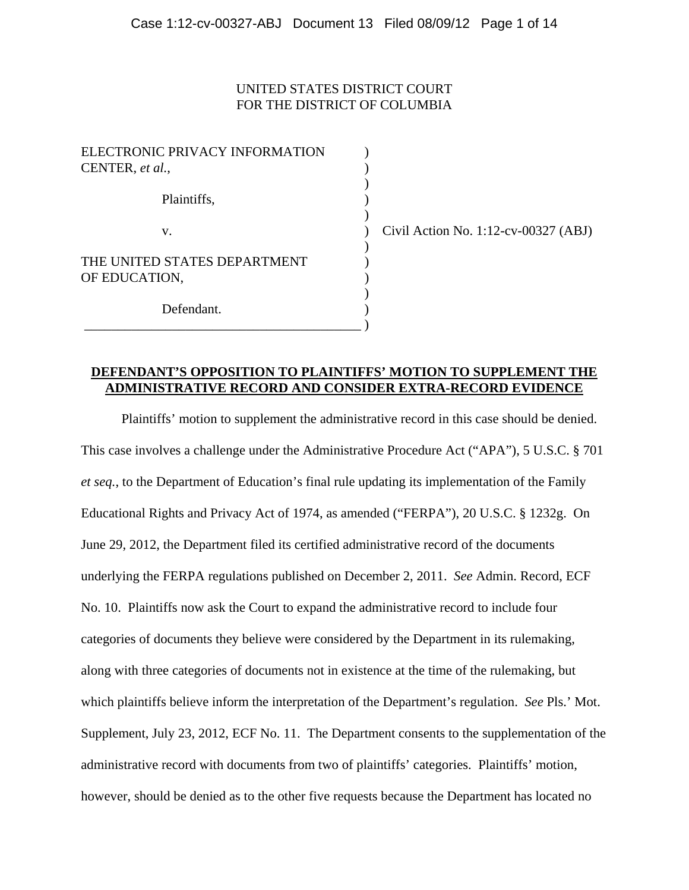### UNITED STATES DISTRICT COURT FOR THE DISTRICT OF COLUMBIA

| ELECTRONIC PRIVACY INFORMATION<br>CENTER, et al., |  |
|---------------------------------------------------|--|
| Plaintiffs,                                       |  |
| V.                                                |  |
| THE UNITED STATES DEPARTMENT<br>OF EDUCATION,     |  |
| Defendant.                                        |  |

 $\vert$  Civil Action No. 1:12-cv-00327 (ABJ)

## **DEFENDANT'S OPPOSITION TO PLAINTIFFS' MOTION TO SUPPLEMENT THE ADMINISTRATIVE RECORD AND CONSIDER EXTRA-RECORD EVIDENCE**

Plaintiffs' motion to supplement the administrative record in this case should be denied. This case involves a challenge under the Administrative Procedure Act ("APA"), 5 U.S.C. § 701 *et seq.*, to the Department of Education's final rule updating its implementation of the Family Educational Rights and Privacy Act of 1974, as amended ("FERPA"), 20 U.S.C. § 1232g. On June 29, 2012, the Department filed its certified administrative record of the documents underlying the FERPA regulations published on December 2, 2011. *See* Admin. Record, ECF No. 10. Plaintiffs now ask the Court to expand the administrative record to include four categories of documents they believe were considered by the Department in its rulemaking, along with three categories of documents not in existence at the time of the rulemaking, but which plaintiffs believe inform the interpretation of the Department's regulation. *See* Pls.' Mot. Supplement, July 23, 2012, ECF No. 11. The Department consents to the supplementation of the administrative record with documents from two of plaintiffs' categories. Plaintiffs' motion, however, should be denied as to the other five requests because the Department has located no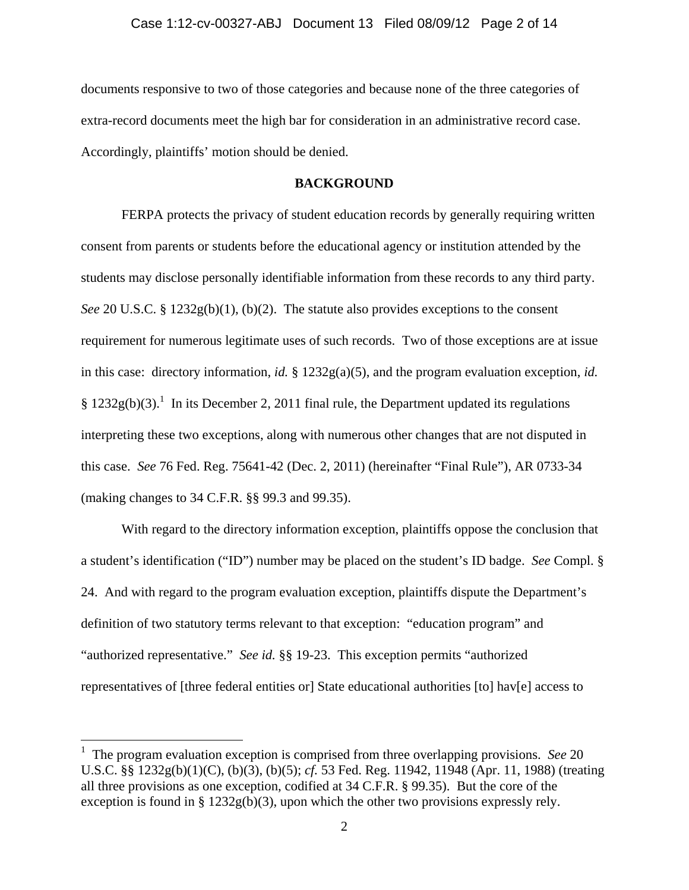documents responsive to two of those categories and because none of the three categories of extra-record documents meet the high bar for consideration in an administrative record case. Accordingly, plaintiffs' motion should be denied.

#### **BACKGROUND**

 FERPA protects the privacy of student education records by generally requiring written consent from parents or students before the educational agency or institution attended by the students may disclose personally identifiable information from these records to any third party. *See* 20 U.S.C. § 1232g(b)(1), (b)(2). The statute also provides exceptions to the consent requirement for numerous legitimate uses of such records. Two of those exceptions are at issue in this case: directory information, *id.* § 1232g(a)(5), and the program evaluation exception, *id.* §  $1232g(b)(3)$ .<sup>1</sup> In its December 2, 2011 final rule, the Department updated its regulations interpreting these two exceptions, along with numerous other changes that are not disputed in this case. *See* 76 Fed. Reg. 75641-42 (Dec. 2, 2011) (hereinafter "Final Rule"), AR 0733-34 (making changes to 34 C.F.R. §§ 99.3 and 99.35).

 With regard to the directory information exception, plaintiffs oppose the conclusion that a student's identification ("ID") number may be placed on the student's ID badge. *See* Compl. § 24. And with regard to the program evaluation exception, plaintiffs dispute the Department's definition of two statutory terms relevant to that exception: "education program" and "authorized representative." *See id.* §§ 19-23. This exception permits "authorized representatives of [three federal entities or] State educational authorities [to] hav[e] access to

<sup>&</sup>lt;sup>1</sup> The program evaluation exception is comprised from three overlapping provisions. *See* 20 U.S.C. §§ 1232g(b)(1)(C), (b)(3), (b)(5); *cf.* 53 Fed. Reg. 11942, 11948 (Apr. 11, 1988) (treating all three provisions as one exception, codified at 34 C.F.R. § 99.35). But the core of the exception is found in §  $1232g(b)(3)$ , upon which the other two provisions expressly rely.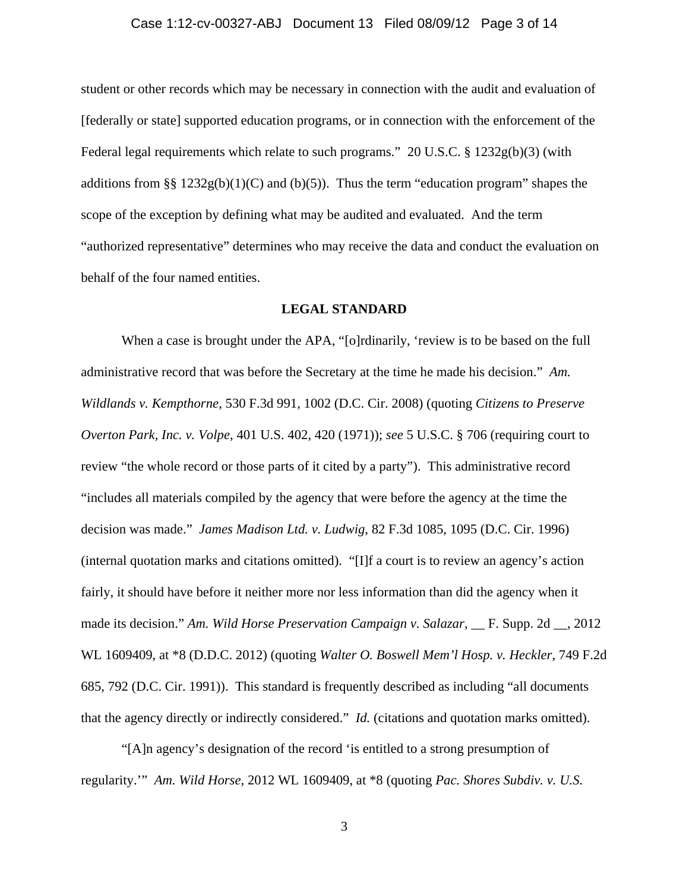#### Case 1:12-cv-00327-ABJ Document 13 Filed 08/09/12 Page 3 of 14

student or other records which may be necessary in connection with the audit and evaluation of [federally or state] supported education programs, or in connection with the enforcement of the Federal legal requirements which relate to such programs." 20 U.S.C. § 1232g(b)(3) (with additions from §§  $1232g(b)(1)(C)$  and (b)(5)). Thus the term "education program" shapes the scope of the exception by defining what may be audited and evaluated. And the term "authorized representative" determines who may receive the data and conduct the evaluation on behalf of the four named entities.

### **LEGAL STANDARD**

When a case is brought under the APA, "[o]rdinarily, 'review is to be based on the full administrative record that was before the Secretary at the time he made his decision." *Am. Wildlands v. Kempthorne*, 530 F.3d 991, 1002 (D.C. Cir. 2008) (quoting *Citizens to Preserve Overton Park, Inc. v. Volpe*, 401 U.S. 402, 420 (1971)); *see* 5 U.S.C. § 706 (requiring court to review "the whole record or those parts of it cited by a party"). This administrative record "includes all materials compiled by the agency that were before the agency at the time the decision was made." *James Madison Ltd. v. Ludwig*, 82 F.3d 1085, 1095 (D.C. Cir. 1996) (internal quotation marks and citations omitted). "[I]f a court is to review an agency's action fairly, it should have before it neither more nor less information than did the agency when it made its decision." *Am. Wild Horse Preservation Campaign v. Salazar*, \_\_ F. Supp. 2d \_\_, 2012 WL 1609409, at \*8 (D.D.C. 2012) (quoting *Walter O. Boswell Mem'l Hosp. v. Heckler*, 749 F.2d 685, 792 (D.C. Cir. 1991)). This standard is frequently described as including "all documents that the agency directly or indirectly considered." *Id.* (citations and quotation marks omitted).

"[A]n agency's designation of the record 'is entitled to a strong presumption of regularity.'" *Am. Wild Horse*, 2012 WL 1609409, at \*8 (quoting *Pac. Shores Subdiv. v. U.S.*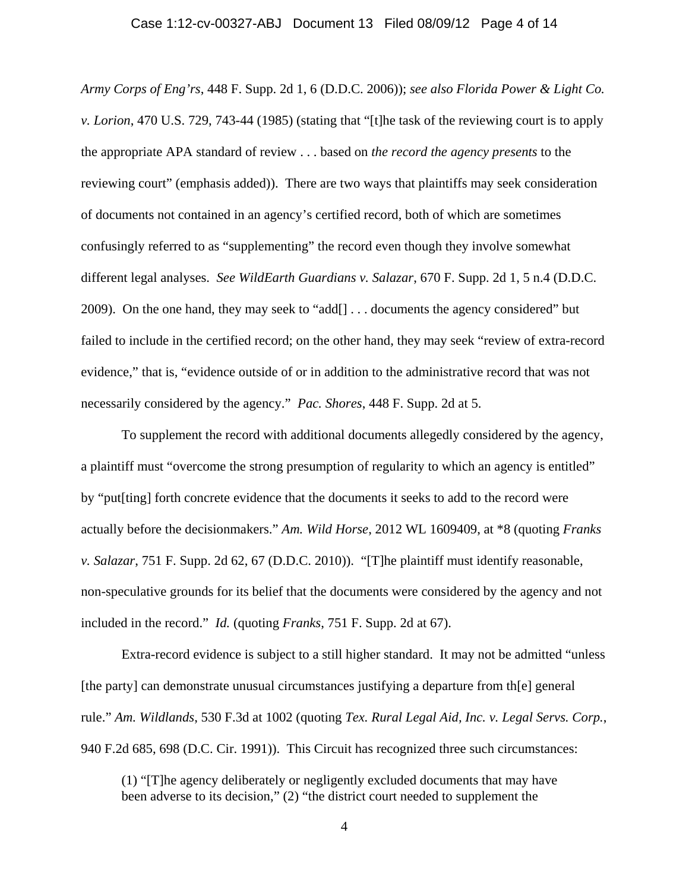#### Case 1:12-cv-00327-ABJ Document 13 Filed 08/09/12 Page 4 of 14

*Army Corps of Eng'rs*, 448 F. Supp. 2d 1, 6 (D.D.C. 2006)); *see also Florida Power & Light Co. v. Lorion*, 470 U.S. 729, 743-44 (1985) (stating that "[t]he task of the reviewing court is to apply the appropriate APA standard of review . . . based on *the record the agency presents* to the reviewing court" (emphasis added)). There are two ways that plaintiffs may seek consideration of documents not contained in an agency's certified record, both of which are sometimes confusingly referred to as "supplementing" the record even though they involve somewhat different legal analyses. *See WildEarth Guardians v. Salazar*, 670 F. Supp. 2d 1, 5 n.4 (D.D.C. 2009). On the one hand, they may seek to "add[] . . . documents the agency considered" but failed to include in the certified record; on the other hand, they may seek "review of extra-record evidence," that is, "evidence outside of or in addition to the administrative record that was not necessarily considered by the agency." *Pac. Shores*, 448 F. Supp. 2d at 5.

To supplement the record with additional documents allegedly considered by the agency, a plaintiff must "overcome the strong presumption of regularity to which an agency is entitled" by "put[ting] forth concrete evidence that the documents it seeks to add to the record were actually before the decisionmakers." *Am. Wild Horse*, 2012 WL 1609409, at \*8 (quoting *Franks v. Salazar*, 751 F. Supp. 2d 62, 67 (D.D.C. 2010)). "[T]he plaintiff must identify reasonable, non-speculative grounds for its belief that the documents were considered by the agency and not included in the record." *Id.* (quoting *Franks*, 751 F. Supp. 2d at 67).

Extra-record evidence is subject to a still higher standard. It may not be admitted "unless [the party] can demonstrate unusual circumstances justifying a departure from th[e] general rule." *Am. Wildlands*, 530 F.3d at 1002 (quoting *Tex. Rural Legal Aid, Inc. v. Legal Servs. Corp.*, 940 F.2d 685, 698 (D.C. Cir. 1991)). This Circuit has recognized three such circumstances:

(1) "[T]he agency deliberately or negligently excluded documents that may have been adverse to its decision," (2) "the district court needed to supplement the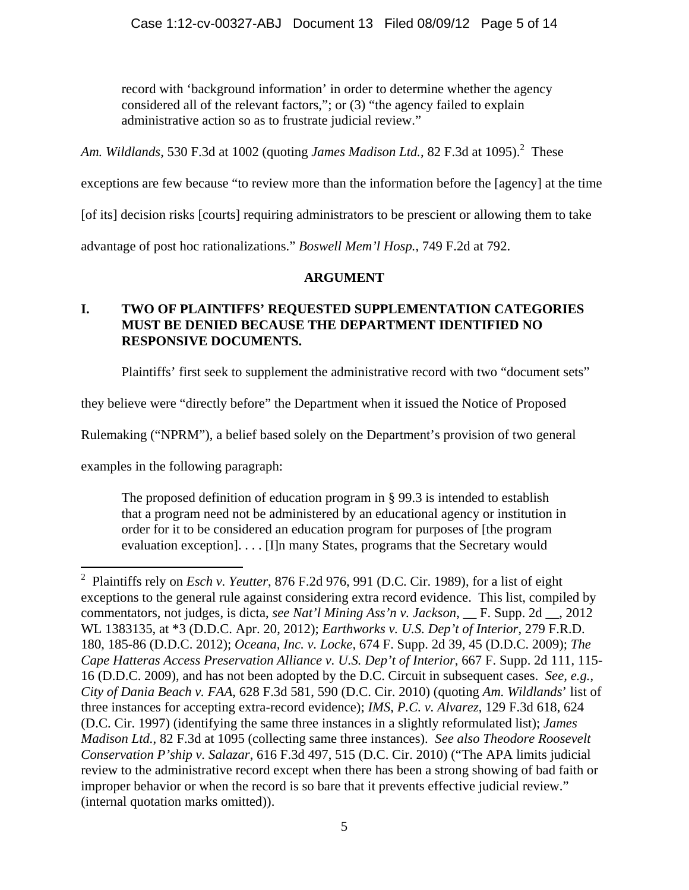record with 'background information' in order to determine whether the agency considered all of the relevant factors,"; or (3) "the agency failed to explain administrative action so as to frustrate judicial review."

Am. Wildlands, 530 F.3d at 1002 (quoting *James Madison Ltd.*, 82 F.3d at 1095).<sup>2</sup> These

exceptions are few because "to review more than the information before the [agency] at the time

[of its] decision risks [courts] requiring administrators to be prescient or allowing them to take

advantage of post hoc rationalizations." *Boswell Mem'l Hosp.*, 749 F.2d at 792.

# **ARGUMENT**

# **I. TWO OF PLAINTIFFS' REQUESTED SUPPLEMENTATION CATEGORIES MUST BE DENIED BECAUSE THE DEPARTMENT IDENTIFIED NO RESPONSIVE DOCUMENTS.**

Plaintiffs' first seek to supplement the administrative record with two "document sets"

they believe were "directly before" the Department when it issued the Notice of Proposed

Rulemaking ("NPRM"), a belief based solely on the Department's provision of two general

examples in the following paragraph:

The proposed definition of education program in § 99.3 is intended to establish that a program need not be administered by an educational agency or institution in order for it to be considered an education program for purposes of [the program evaluation exception]. . . . [I]n many States, programs that the Secretary would

<sup>1</sup> 2 Plaintiffs rely on *Esch v. Yeutter*, 876 F.2d 976, 991 (D.C. Cir. 1989), for a list of eight exceptions to the general rule against considering extra record evidence. This list, compiled by commentators, not judges, is dicta, *see Nat'l Mining Ass'n v. Jackson*, \_\_ F. Supp. 2d \_\_, 2012 WL 1383135, at \*3 (D.D.C. Apr. 20, 2012); *Earthworks v. U.S. Dep't of Interior*, 279 F.R.D. 180, 185-86 (D.D.C. 2012); *Oceana, Inc. v. Locke*, 674 F. Supp. 2d 39, 45 (D.D.C. 2009); *The Cape Hatteras Access Preservation Alliance v. U.S. Dep't of Interior*, 667 F. Supp. 2d 111, 115- 16 (D.D.C. 2009), and has not been adopted by the D.C. Circuit in subsequent cases. *See, e.g.*, *City of Dania Beach v. FAA*, 628 F.3d 581, 590 (D.C. Cir. 2010) (quoting *Am. Wildlands*' list of three instances for accepting extra-record evidence); *IMS, P.C. v. Alvarez*, 129 F.3d 618, 624 (D.C. Cir. 1997) (identifying the same three instances in a slightly reformulated list); *James Madison Ltd.*, 82 F.3d at 1095 (collecting same three instances). *See also Theodore Roosevelt Conservation P'ship v. Salazar*, 616 F.3d 497, 515 (D.C. Cir. 2010) ("The APA limits judicial review to the administrative record except when there has been a strong showing of bad faith or improper behavior or when the record is so bare that it prevents effective judicial review." (internal quotation marks omitted)).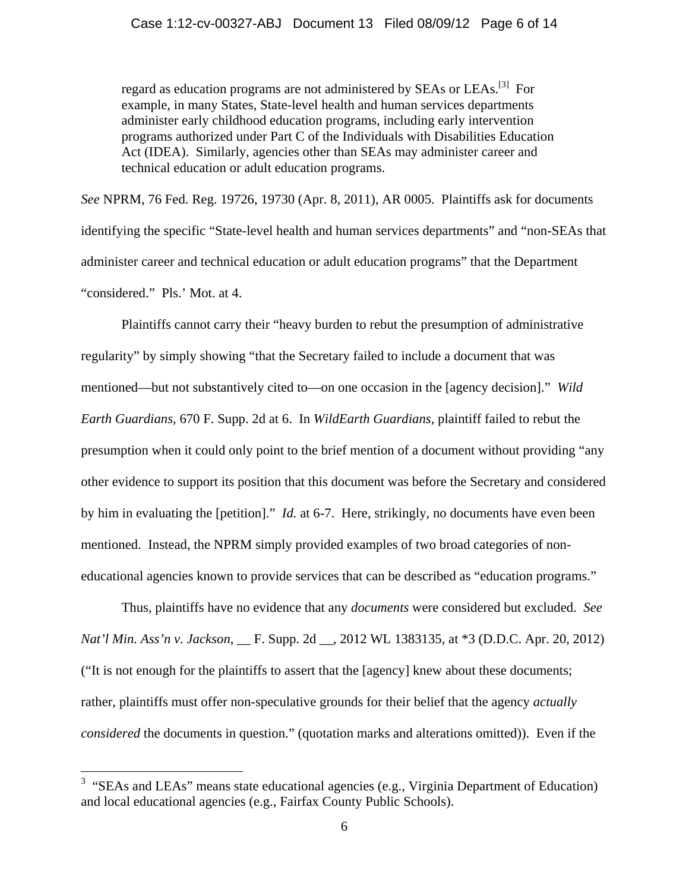regard as education programs are not administered by SEAs or LEAs.<sup>[3]</sup> For example, in many States, State-level health and human services departments administer early childhood education programs, including early intervention programs authorized under Part C of the Individuals with Disabilities Education Act (IDEA). Similarly, agencies other than SEAs may administer career and technical education or adult education programs.

*See* NPRM, 76 Fed. Reg. 19726, 19730 (Apr. 8, 2011), AR 0005. Plaintiffs ask for documents identifying the specific "State-level health and human services departments" and "non-SEAs that administer career and technical education or adult education programs" that the Department "considered." Pls.' Mot. at 4.

 Plaintiffs cannot carry their "heavy burden to rebut the presumption of administrative regularity" by simply showing "that the Secretary failed to include a document that was mentioned—but not substantively cited to—on one occasion in the [agency decision]." *Wild Earth Guardians*, 670 F. Supp. 2d at 6. In *WildEarth Guardians*, plaintiff failed to rebut the presumption when it could only point to the brief mention of a document without providing "any other evidence to support its position that this document was before the Secretary and considered by him in evaluating the [petition]." *Id.* at 6-7. Here, strikingly, no documents have even been mentioned. Instead, the NPRM simply provided examples of two broad categories of noneducational agencies known to provide services that can be described as "education programs."

Thus, plaintiffs have no evidence that any *documents* were considered but excluded. *See Nat'l Min. Ass'n v. Jackson*, \_\_ F. Supp. 2d \_\_, 2012 WL 1383135, at \*3 (D.D.C. Apr. 20, 2012) ("It is not enough for the plaintiffs to assert that the [agency] knew about these documents; rather, plaintiffs must offer non-speculative grounds for their belief that the agency *actually considered* the documents in question." (quotation marks and alterations omitted)). Even if the

<sup>&</sup>lt;sup>3</sup> "SEAs and LEAs" means state educational agencies (e.g., Virginia Department of Education) and local educational agencies (e.g., Fairfax County Public Schools).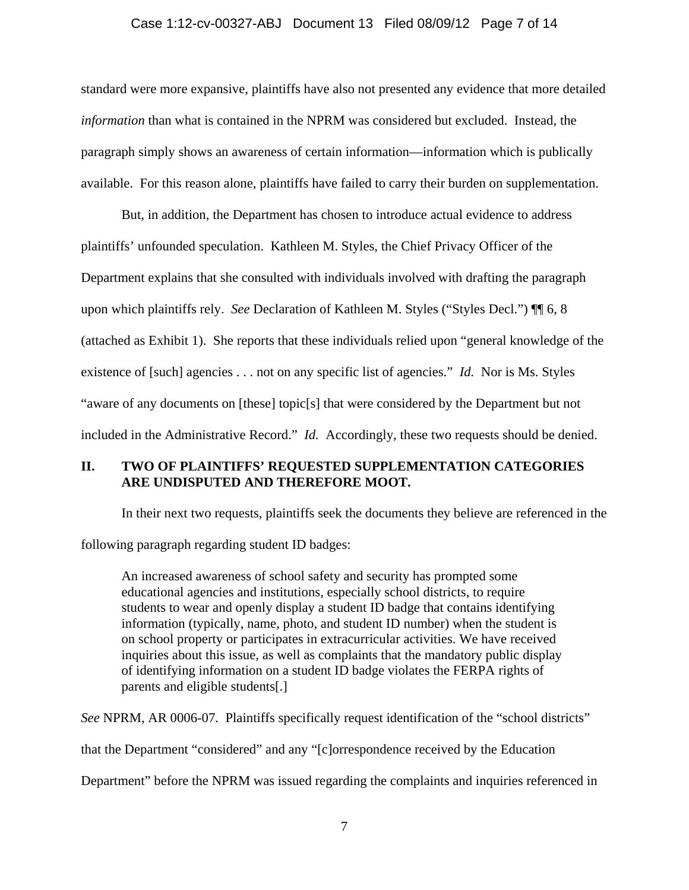#### Case 1:12-cv-00327-ABJ Document 13 Filed 08/09/12 Page 7 of 14

standard were more expansive, plaintiffs have also not presented any evidence that more detailed *information* than what is contained in the NPRM was considered but excluded. Instead, the paragraph simply shows an awareness of certain information—information which is publically available. For this reason alone, plaintiffs have failed to carry their burden on supplementation.

But, in addition, the Department has chosen to introduce actual evidence to address plaintiffs' unfounded speculation. Kathleen M. Styles, the Chief Privacy Officer of the Department explains that she consulted with individuals involved with drafting the paragraph upon which plaintiffs rely. *See* Declaration of Kathleen M. Styles ("Styles Decl.") ¶¶ 6, 8 (attached as Exhibit 1). She reports that these individuals relied upon "general knowledge of the existence of [such] agencies . . . not on any specific list of agencies." *Id.* Nor is Ms. Styles "aware of any documents on [these] topic[s] that were considered by the Department but not included in the Administrative Record." *Id.* Accordingly, these two requests should be denied.

### **II. TWO OF PLAINTIFFS' REQUESTED SUPPLEMENTATION CATEGORIES ARE UNDISPUTED AND THEREFORE MOOT.**

In their next two requests, plaintiffs seek the documents they believe are referenced in the following paragraph regarding student ID badges:

An increased awareness of school safety and security has prompted some educational agencies and institutions, especially school districts, to require students to wear and openly display a student ID badge that contains identifying information (typically, name, photo, and student ID number) when the student is on school property or participates in extracurricular activities. We have received inquiries about this issue, as well as complaints that the mandatory public display of identifying information on a student ID badge violates the FERPA rights of parents and eligible students[.]

*See* NPRM, AR 0006-07. Plaintiffs specifically request identification of the "school districts"

that the Department "considered" and any "[c]orrespondence received by the Education

Department" before the NPRM was issued regarding the complaints and inquiries referenced in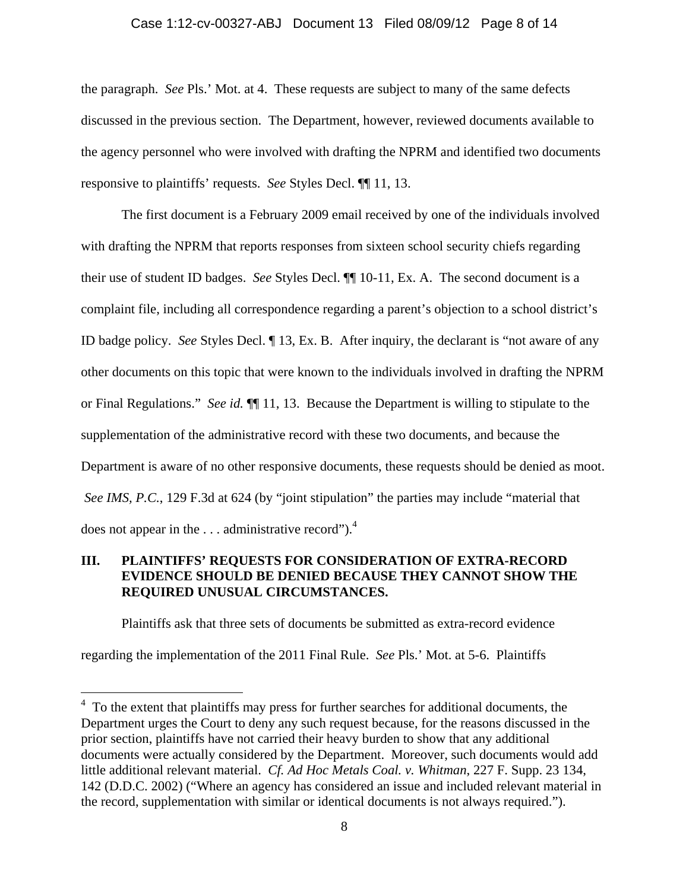#### Case 1:12-cv-00327-ABJ Document 13 Filed 08/09/12 Page 8 of 14

the paragraph. *See* Pls.' Mot. at 4. These requests are subject to many of the same defects discussed in the previous section. The Department, however, reviewed documents available to the agency personnel who were involved with drafting the NPRM and identified two documents responsive to plaintiffs' requests. *See* Styles Decl. ¶¶ 11, 13.

 The first document is a February 2009 email received by one of the individuals involved with drafting the NPRM that reports responses from sixteen school security chiefs regarding their use of student ID badges. *See* Styles Decl. ¶¶ 10-11, Ex. A. The second document is a complaint file, including all correspondence regarding a parent's objection to a school district's ID badge policy. *See* Styles Decl. ¶ 13, Ex. B. After inquiry, the declarant is "not aware of any other documents on this topic that were known to the individuals involved in drafting the NPRM or Final Regulations." *See id.* ¶¶ 11, 13. Because the Department is willing to stipulate to the supplementation of the administrative record with these two documents, and because the Department is aware of no other responsive documents, these requests should be denied as moot. *See IMS, P.C.*, 129 F.3d at 624 (by "joint stipulation" the parties may include "material that does not appear in the  $\dots$  administrative record").<sup>4</sup>

## **III. PLAINTIFFS' REQUESTS FOR CONSIDERATION OF EXTRA-RECORD EVIDENCE SHOULD BE DENIED BECAUSE THEY CANNOT SHOW THE REQUIRED UNUSUAL CIRCUMSTANCES.**

Plaintiffs ask that three sets of documents be submitted as extra-record evidence regarding the implementation of the 2011 Final Rule. *See* Pls.' Mot. at 5-6. Plaintiffs

<sup>&</sup>lt;sup>4</sup> To the extent that plaintiffs may press for further searches for additional documents, the Department urges the Court to deny any such request because, for the reasons discussed in the prior section, plaintiffs have not carried their heavy burden to show that any additional documents were actually considered by the Department. Moreover, such documents would add little additional relevant material. *Cf. Ad Hoc Metals Coal. v. Whitman*, 227 F. Supp. 23 134, 142 (D.D.C. 2002) ("Where an agency has considered an issue and included relevant material in the record, supplementation with similar or identical documents is not always required.").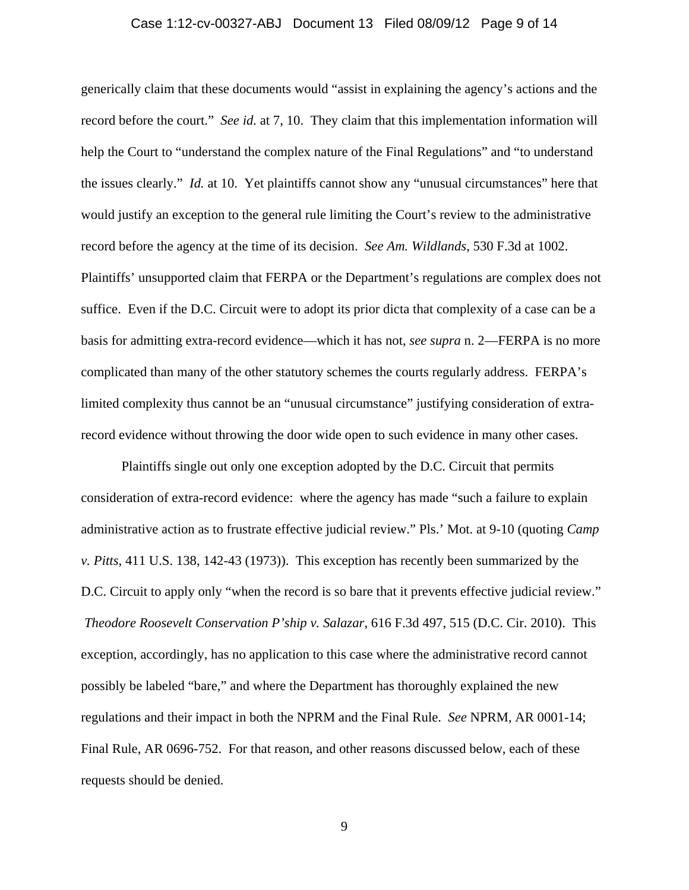#### Case 1:12-cv-00327-ABJ Document 13 Filed 08/09/12 Page 9 of 14

generically claim that these documents would "assist in explaining the agency's actions and the record before the court." *See id.* at 7, 10. They claim that this implementation information will help the Court to "understand the complex nature of the Final Regulations" and "to understand the issues clearly." *Id.* at 10. Yet plaintiffs cannot show any "unusual circumstances" here that would justify an exception to the general rule limiting the Court's review to the administrative record before the agency at the time of its decision. *See Am. Wildlands*, 530 F.3d at 1002. Plaintiffs' unsupported claim that FERPA or the Department's regulations are complex does not suffice. Even if the D.C. Circuit were to adopt its prior dicta that complexity of a case can be a basis for admitting extra-record evidence—which it has not, *see supra* n. 2—FERPA is no more complicated than many of the other statutory schemes the courts regularly address. FERPA's limited complexity thus cannot be an "unusual circumstance" justifying consideration of extrarecord evidence without throwing the door wide open to such evidence in many other cases.

Plaintiffs single out only one exception adopted by the D.C. Circuit that permits consideration of extra-record evidence: where the agency has made "such a failure to explain administrative action as to frustrate effective judicial review." Pls.' Mot. at 9-10 (quoting *Camp v. Pitts*, 411 U.S. 138, 142-43 (1973)). This exception has recently been summarized by the D.C. Circuit to apply only "when the record is so bare that it prevents effective judicial review." *Theodore Roosevelt Conservation P'ship v. Salazar*, 616 F.3d 497, 515 (D.C. Cir. 2010). This exception, accordingly, has no application to this case where the administrative record cannot possibly be labeled "bare," and where the Department has thoroughly explained the new regulations and their impact in both the NPRM and the Final Rule. *See* NPRM, AR 0001-14; Final Rule, AR 0696-752. For that reason, and other reasons discussed below, each of these requests should be denied.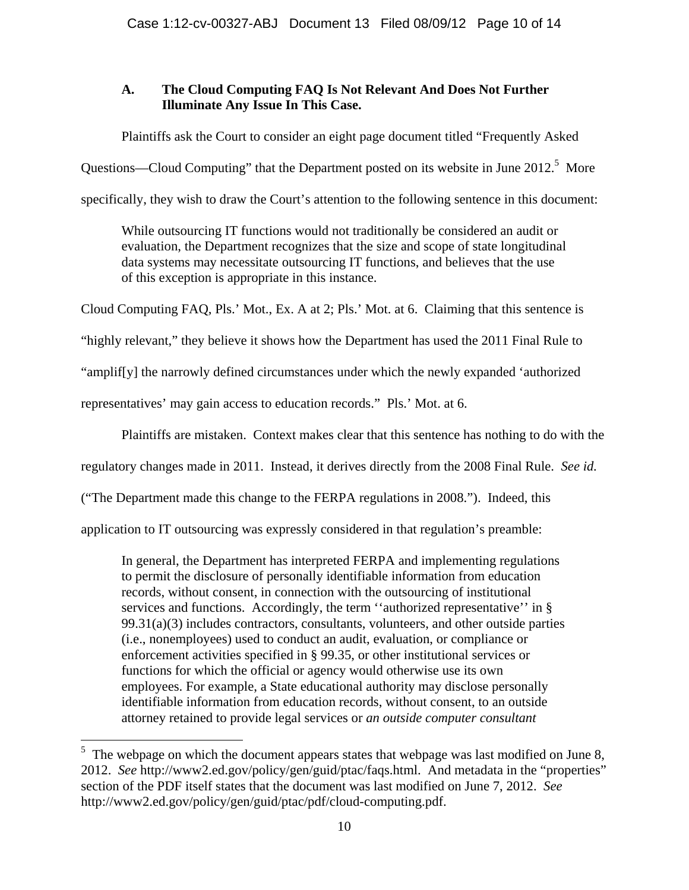# **A. The Cloud Computing FAQ Is Not Relevant And Does Not Further Illuminate Any Issue In This Case.**

Plaintiffs ask the Court to consider an eight page document titled "Frequently Asked

Questions—Cloud Computing" that the Department posted on its website in June  $2012$ <sup>5</sup> More

specifically, they wish to draw the Court's attention to the following sentence in this document:

While outsourcing IT functions would not traditionally be considered an audit or evaluation, the Department recognizes that the size and scope of state longitudinal data systems may necessitate outsourcing IT functions, and believes that the use of this exception is appropriate in this instance.

Cloud Computing FAQ, Pls.' Mot., Ex. A at 2; Pls.' Mot. at 6. Claiming that this sentence is

"highly relevant," they believe it shows how the Department has used the 2011 Final Rule to

"amplif[y] the narrowly defined circumstances under which the newly expanded 'authorized

representatives' may gain access to education records." Pls.' Mot. at 6.

1

Plaintiffs are mistaken. Context makes clear that this sentence has nothing to do with the

regulatory changes made in 2011. Instead, it derives directly from the 2008 Final Rule. *See id.*

("The Department made this change to the FERPA regulations in 2008."). Indeed, this

application to IT outsourcing was expressly considered in that regulation's preamble:

In general, the Department has interpreted FERPA and implementing regulations to permit the disclosure of personally identifiable information from education records, without consent, in connection with the outsourcing of institutional services and functions. Accordingly, the term ''authorized representative'' in §  $99.31(a)(3)$  includes contractors, consultants, volunteers, and other outside parties (i.e., nonemployees) used to conduct an audit, evaluation, or compliance or enforcement activities specified in § 99.35, or other institutional services or functions for which the official or agency would otherwise use its own employees. For example, a State educational authority may disclose personally identifiable information from education records, without consent, to an outside attorney retained to provide legal services or *an outside computer consultant* 

 $5$  The webpage on which the document appears states that webpage was last modified on June 8, 2012. *See* http://www2.ed.gov/policy/gen/guid/ptac/faqs.html. And metadata in the "properties" section of the PDF itself states that the document was last modified on June 7, 2012. *See* http://www2.ed.gov/policy/gen/guid/ptac/pdf/cloud-computing.pdf.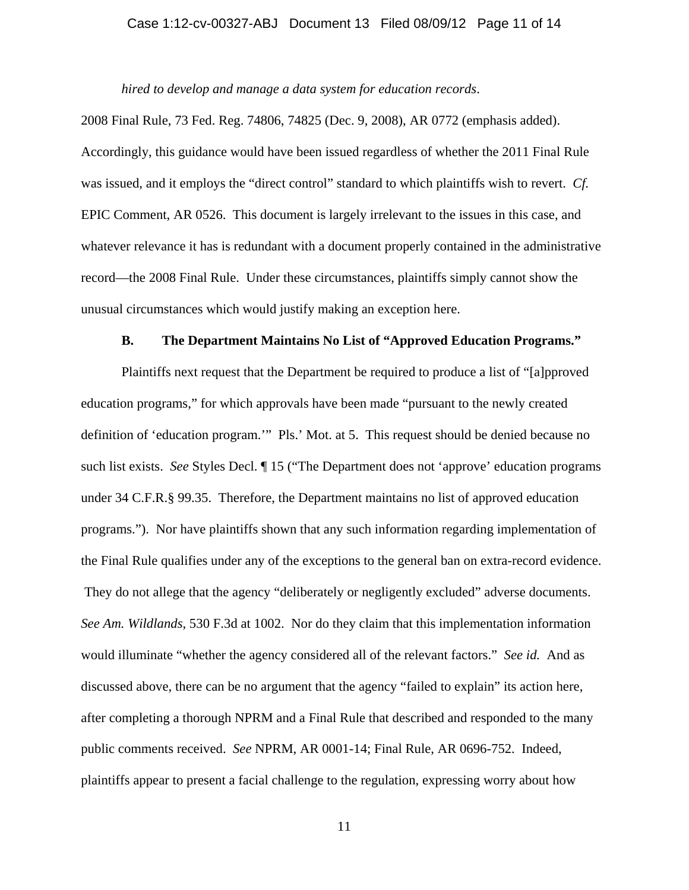#### Case 1:12-cv-00327-ABJ Document 13 Filed 08/09/12 Page 11 of 14

*hired to develop and manage a data system for education records*.

2008 Final Rule, 73 Fed. Reg. 74806, 74825 (Dec. 9, 2008), AR 0772 (emphasis added). Accordingly, this guidance would have been issued regardless of whether the 2011 Final Rule was issued, and it employs the "direct control" standard to which plaintiffs wish to revert. *Cf.* EPIC Comment, AR 0526. This document is largely irrelevant to the issues in this case, and whatever relevance it has is redundant with a document properly contained in the administrative record—the 2008 Final Rule. Under these circumstances, plaintiffs simply cannot show the unusual circumstances which would justify making an exception here.

### **B. The Department Maintains No List of "Approved Education Programs."**

Plaintiffs next request that the Department be required to produce a list of "[a]pproved education programs," for which approvals have been made "pursuant to the newly created definition of 'education program.'" Pls.' Mot. at 5. This request should be denied because no such list exists. *See* Styles Decl. ¶ 15 ("The Department does not 'approve' education programs under 34 C.F.R.§ 99.35. Therefore, the Department maintains no list of approved education programs."). Nor have plaintiffs shown that any such information regarding implementation of the Final Rule qualifies under any of the exceptions to the general ban on extra-record evidence. They do not allege that the agency "deliberately or negligently excluded" adverse documents. *See Am. Wildlands*, 530 F.3d at 1002. Nor do they claim that this implementation information would illuminate "whether the agency considered all of the relevant factors." *See id.* And as discussed above, there can be no argument that the agency "failed to explain" its action here, after completing a thorough NPRM and a Final Rule that described and responded to the many public comments received. *See* NPRM, AR 0001-14; Final Rule, AR 0696-752. Indeed, plaintiffs appear to present a facial challenge to the regulation, expressing worry about how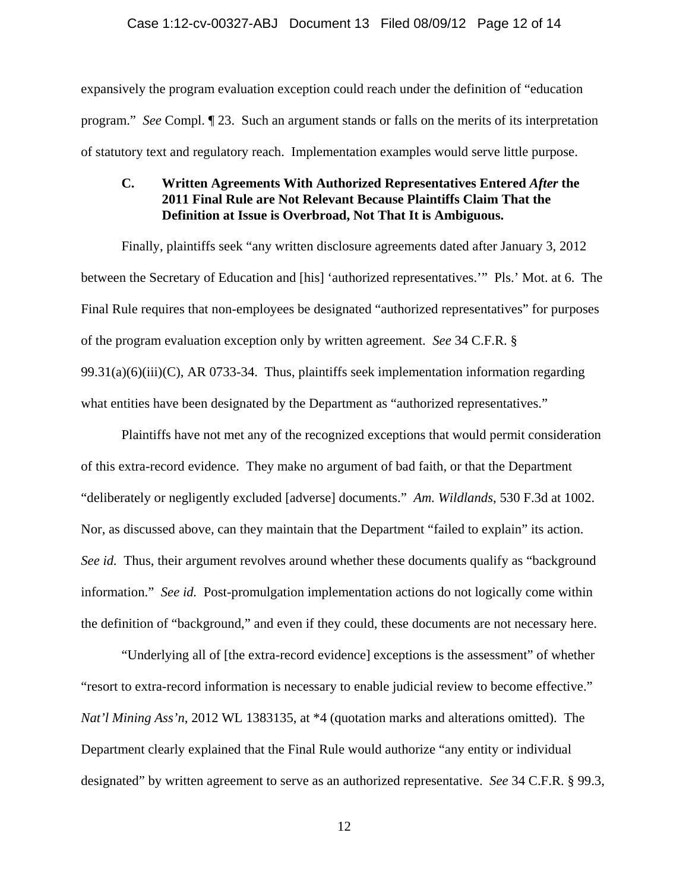expansively the program evaluation exception could reach under the definition of "education program." *See* Compl. ¶ 23. Such an argument stands or falls on the merits of its interpretation of statutory text and regulatory reach. Implementation examples would serve little purpose.

## **C. Written Agreements With Authorized Representatives Entered** *After* **the 2011 Final Rule are Not Relevant Because Plaintiffs Claim That the Definition at Issue is Overbroad, Not That It is Ambiguous.**

Finally, plaintiffs seek "any written disclosure agreements dated after January 3, 2012 between the Secretary of Education and [his] 'authorized representatives.'" Pls.' Mot. at 6. The Final Rule requires that non-employees be designated "authorized representatives" for purposes of the program evaluation exception only by written agreement. *See* 34 C.F.R. §  $99.31(a)(6)(iii)(C)$ , AR 0733-34. Thus, plaintiffs seek implementation information regarding what entities have been designated by the Department as "authorized representatives."

Plaintiffs have not met any of the recognized exceptions that would permit consideration of this extra-record evidence. They make no argument of bad faith, or that the Department "deliberately or negligently excluded [adverse] documents." *Am. Wildlands*, 530 F.3d at 1002. Nor, as discussed above, can they maintain that the Department "failed to explain" its action. *See id.* Thus, their argument revolves around whether these documents qualify as "background information." *See id.* Post-promulgation implementation actions do not logically come within the definition of "background," and even if they could, these documents are not necessary here.

"Underlying all of [the extra-record evidence] exceptions is the assessment" of whether "resort to extra-record information is necessary to enable judicial review to become effective." *Nat'l Mining Ass'n*, 2012 WL 1383135, at \*4 (quotation marks and alterations omitted). The Department clearly explained that the Final Rule would authorize "any entity or individual designated" by written agreement to serve as an authorized representative. *See* 34 C.F.R. § 99.3,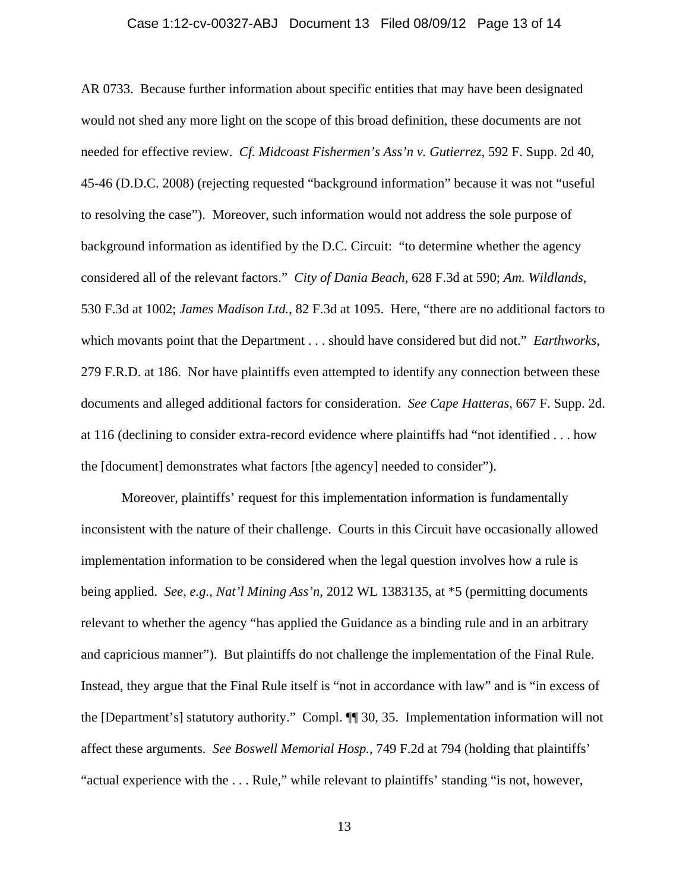# Case 1:12-cv-00327-ABJ Document 13 Filed 08/09/12 Page 13 of 14

AR 0733. Because further information about specific entities that may have been designated would not shed any more light on the scope of this broad definition, these documents are not needed for effective review. *Cf. Midcoast Fishermen's Ass'n v. Gutierrez*, 592 F. Supp. 2d 40, 45-46 (D.D.C. 2008) (rejecting requested "background information" because it was not "useful to resolving the case"). Moreover, such information would not address the sole purpose of background information as identified by the D.C. Circuit: "to determine whether the agency considered all of the relevant factors." *City of Dania Beach*, 628 F.3d at 590; *Am. Wildlands*, 530 F.3d at 1002; *James Madison Ltd.*, 82 F.3d at 1095. Here, "there are no additional factors to which movants point that the Department . . . should have considered but did not." *Earthworks*, 279 F.R.D. at 186. Nor have plaintiffs even attempted to identify any connection between these documents and alleged additional factors for consideration. *See Cape Hatteras*, 667 F. Supp. 2d. at 116 (declining to consider extra-record evidence where plaintiffs had "not identified . . . how the [document] demonstrates what factors [the agency] needed to consider").

Moreover, plaintiffs' request for this implementation information is fundamentally inconsistent with the nature of their challenge. Courts in this Circuit have occasionally allowed implementation information to be considered when the legal question involves how a rule is being applied. *See, e.g.*, *Nat'l Mining Ass'n*, 2012 WL 1383135, at \*5 (permitting documents relevant to whether the agency "has applied the Guidance as a binding rule and in an arbitrary and capricious manner"). But plaintiffs do not challenge the implementation of the Final Rule. Instead, they argue that the Final Rule itself is "not in accordance with law" and is "in excess of the [Department's] statutory authority." Compl. ¶¶ 30, 35. Implementation information will not affect these arguments. *See Boswell Memorial Hosp.*, 749 F.2d at 794 (holding that plaintiffs' "actual experience with the . . . Rule," while relevant to plaintiffs' standing "is not, however,